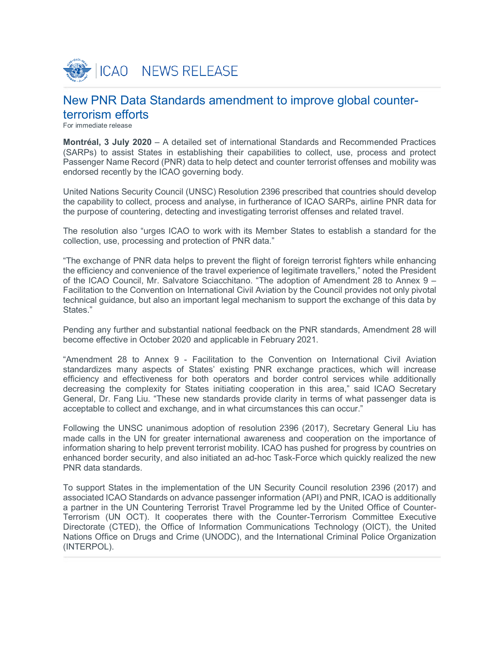

# New PNR Data Standards amendment to improve global counterterrorism efforts

For immediate release

**Montréal, 3 July 2020** – A detailed set of international Standards and Recommended Practices (SARPs) to assist States in establishing their capabilities to collect, use, process and protect Passenger Name Record (PNR) data to help detect and counter terrorist offenses and mobility was endorsed recently by the ICAO governing body.

United Nations Security Council (UNSC) Resolution 2396 prescribed that countries should develop the capability to collect, process and analyse, in furtherance of ICAO SARPs, airline PNR data for the purpose of countering, detecting and investigating terrorist offenses and related travel.

The resolution also "urges ICAO to work with its Member States to establish a standard for the collection, use, processing and protection of PNR data."

"The exchange of PNR data helps to prevent the flight of foreign terrorist fighters while enhancing the efficiency and convenience of the travel experience of legitimate travellers," noted the President of the ICAO Council, Mr. Salvatore Sciacchitano. "The adoption of Amendment 28 to Annex 9 – Facilitation to the Convention on International Civil Aviation by the Council provides not only pivotal technical guidance, but also an important legal mechanism to support the exchange of this data by States."

Pending any further and substantial national feedback on the PNR standards, Amendment 28 will become effective in October 2020 and applicable in February 2021.

"Amendment 28 to Annex 9 - Facilitation to the Convention on International Civil Aviation standardizes many aspects of States' existing PNR exchange practices, which will increase efficiency and effectiveness for both operators and border control services while additionally decreasing the complexity for States initiating cooperation in this area," said ICAO Secretary General, Dr. Fang Liu. "These new standards provide clarity in terms of what passenger data is acceptable to collect and exchange, and in what circumstances this can occur."

Following the UNSC unanimous adoption of resolution 2396 (2017), Secretary General Liu has made calls in the UN for greater international awareness and cooperation on the importance of information sharing to help prevent terrorist mobility. ICAO has pushed for progress by countries on enhanced border security, and also initiated an ad-hoc Task-Force which quickly realized the new PNR data standards.

To support States in the implementation of the UN Security Council resolution 2396 (2017) and associated ICAO Standards on advance passenger information (API) and PNR, ICAO is additionally a partner in the UN Countering Terrorist Travel Programme led by the United Office of Counter-Terrorism (UN OCT). It cooperates there with the Counter-Terrorism Committee Executive Directorate (CTED), the Office of Information Communications Technology (OICT), the United Nations Office on Drugs and Crime (UNODC), and the International Criminal Police Organization (INTERPOL).